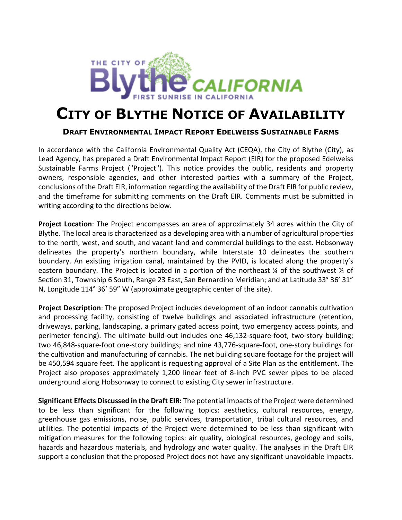

## **CITY OF BLYTHE NOTICE OF AVAILABILITY**

## **DRAFT ENVIRONMENTAL IMPACT REPORT EDELWEISS SUSTAINABLE FARMS**

In accordance with the California Environmental Quality Act (CEQA), the City of Blythe (City), as Lead Agency, has prepared a Draft Environmental Impact Report (EIR) for the proposed Edelweiss Sustainable Farms Project ("Project"). This notice provides the public, residents and property owners, responsible agencies, and other interested parties with a summary of the Project, conclusions of the Draft EIR, information regarding the availability of the Draft EIR for public review, and the timeframe for submitting comments on the Draft EIR. Comments must be submitted in writing according to the directions below.

**Project Location**: The Project encompasses an area of approximately 34 acres within the City of Blythe. The local area is characterized as a developing area with a number of agricultural properties to the north, west, and south, and vacant land and commercial buildings to the east. Hobsonway delineates the property's northern boundary, while Interstate 10 delineates the southern boundary. An existing irrigation canal, maintained by the PVID, is located along the property's eastern boundary. The Project is located in a portion of the northeast % of the southwest % of Section 31, Township 6 South, Range 23 East, San Bernardino Meridian; and at Latitude 33° 36' 31" N, Longitude 114° 36' 59" W (approximate geographic center of the site).

**Project Description**: The proposed Project includes development of an indoor cannabis cultivation and processing facility, consisting of twelve buildings and associated infrastructure (retention, driveways, parking, landscaping, a primary gated access point, two emergency access points, and perimeter fencing). The ultimate build-out includes one 46,132-square-foot, two-story building; two 46,848-square-foot one-story buildings; and nine 43,776-square-foot, one-story buildings for the cultivation and manufacturing of cannabis. The net building square footage for the project will be 450,594 square feet. The applicant is requesting approval of a Site Plan as the entitlement. The Project also proposes approximately 1,200 linear feet of 8-inch PVC sewer pipes to be placed underground along Hobsonway to connect to existing City sewer infrastructure.

**Significant Effects Discussed in the Draft EIR:** The potential impacts of the Project were determined to be less than significant for the following topics: aesthetics, cultural resources, energy, greenhouse gas emissions, noise, public services, transportation, tribal cultural resources, and utilities. The potential impacts of the Project were determined to be less than significant with mitigation measures for the following topics: air quality, biological resources, geology and soils, hazards and hazardous materials, and hydrology and water quality. The analyses in the Draft EIR support a conclusion that the proposed Project does not have any significant unavoidable impacts.